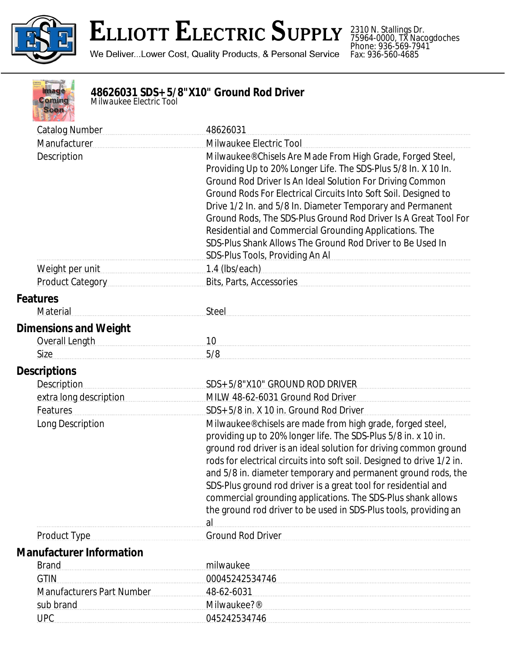

2310 N. Stallings Dr. 75964-0000, TX Nacogdoches Phone: 936-569-7941 Fax: 936-560-4685



## **48626031 SDS+ 5/8"X10" Ground Rod Driver**

*Milwaukee Electric Tool*

| <b>Catalog Number</b>                                                                                                                                                                                                                         | 48626031                                                                                                                                                                                                                                                                                                                                                                                                                                                                                                                                                                                         |  |
|-----------------------------------------------------------------------------------------------------------------------------------------------------------------------------------------------------------------------------------------------|--------------------------------------------------------------------------------------------------------------------------------------------------------------------------------------------------------------------------------------------------------------------------------------------------------------------------------------------------------------------------------------------------------------------------------------------------------------------------------------------------------------------------------------------------------------------------------------------------|--|
| Manufacturer                                                                                                                                                                                                                                  | Milwaukee Electric Tool                                                                                                                                                                                                                                                                                                                                                                                                                                                                                                                                                                          |  |
| Description                                                                                                                                                                                                                                   | Milwaukee® Chisels Are Made From High Grade, Forged Steel,<br>Providing Up to 20% Longer Life. The SDS-Plus 5/8 In. X 10 In.<br>Ground Rod Driver Is An Ideal Solution For Driving Common<br>Ground Rods For Electrical Circuits Into Soft Soil. Designed to<br>Drive 1/2 In. and 5/8 In. Diameter Temporary and Permanent<br>Ground Rods, The SDS-Plus Ground Rod Driver Is A Great Tool For<br>Residential and Commercial Grounding Applications. The<br>SDS-Plus Shank Allows The Ground Rod Driver to Be Used In<br>SDS-Plus Tools, Providing An Al <b>Strategie And Al Strategie And Al</b> |  |
| Weight per unit                                                                                                                                                                                                                               | $1.4$ (lbs/each)                                                                                                                                                                                                                                                                                                                                                                                                                                                                                                                                                                                 |  |
| Product Category <b>Manual</b>                                                                                                                                                                                                                | Bits, Parts, Accessories                                                                                                                                                                                                                                                                                                                                                                                                                                                                                                                                                                         |  |
| <b>Features</b><br>Material                                                                                                                                                                                                                   | Steel                                                                                                                                                                                                                                                                                                                                                                                                                                                                                                                                                                                            |  |
|                                                                                                                                                                                                                                               |                                                                                                                                                                                                                                                                                                                                                                                                                                                                                                                                                                                                  |  |
| <b>Dimensions and Weight</b>                                                                                                                                                                                                                  |                                                                                                                                                                                                                                                                                                                                                                                                                                                                                                                                                                                                  |  |
| Overall Length Management Control Control Control Control Control Control Control Control Control Control Control Control Control Control Control Control Control Control Control Control Control Control Control Control Cont<br><b>Size</b> | 10<br>5/8                                                                                                                                                                                                                                                                                                                                                                                                                                                                                                                                                                                        |  |
|                                                                                                                                                                                                                                               |                                                                                                                                                                                                                                                                                                                                                                                                                                                                                                                                                                                                  |  |
| <b>Descriptions</b>                                                                                                                                                                                                                           |                                                                                                                                                                                                                                                                                                                                                                                                                                                                                                                                                                                                  |  |
| <b>Description</b>                                                                                                                                                                                                                            | SDS+ 5/8"X10" GROUND ROD DRIVER                                                                                                                                                                                                                                                                                                                                                                                                                                                                                                                                                                  |  |
| extra long description                                                                                                                                                                                                                        | MILW 48-62-6031 Ground Rod Driver                                                                                                                                                                                                                                                                                                                                                                                                                                                                                                                                                                |  |
| Features                                                                                                                                                                                                                                      | SDS+ 5/8 in. X 10 in. Ground Rod Driver                                                                                                                                                                                                                                                                                                                                                                                                                                                                                                                                                          |  |
| Long Description                                                                                                                                                                                                                              | Milwaukee® chisels are made from high grade, forged steel,<br>providing up to 20% longer life. The SDS-Plus 5/8 in. x 10 in.<br>ground rod driver is an ideal solution for driving common ground<br>rods for electrical circuits into soft soil. Designed to drive 1/2 in.<br>and 5/8 in. diameter temporary and permanent ground rods, the<br>SDS-Plus ground rod driver is a great tool for residential and<br>commercial grounding applications. The SDS-Plus shank allows<br>the ground rod driver to be used in SDS-Plus tools, providing an<br>al                                          |  |
| <b>Product Type</b>                                                                                                                                                                                                                           | <b>Ground Rod Driver</b>                                                                                                                                                                                                                                                                                                                                                                                                                                                                                                                                                                         |  |
| <b>Manufacturer Information</b>                                                                                                                                                                                                               |                                                                                                                                                                                                                                                                                                                                                                                                                                                                                                                                                                                                  |  |
| <b>Brand</b>                                                                                                                                                                                                                                  | milwaukee                                                                                                                                                                                                                                                                                                                                                                                                                                                                                                                                                                                        |  |
| <b>GTIN</b>                                                                                                                                                                                                                                   | 00045242534746                                                                                                                                                                                                                                                                                                                                                                                                                                                                                                                                                                                   |  |
| <b>Manufacturers Part Number</b>                                                                                                                                                                                                              | 48-62-6031                                                                                                                                                                                                                                                                                                                                                                                                                                                                                                                                                                                       |  |
| sub brand                                                                                                                                                                                                                                     | Milwaukee?®                                                                                                                                                                                                                                                                                                                                                                                                                                                                                                                                                                                      |  |
| <b>UPC</b>                                                                                                                                                                                                                                    | 045242534746                                                                                                                                                                                                                                                                                                                                                                                                                                                                                                                                                                                     |  |